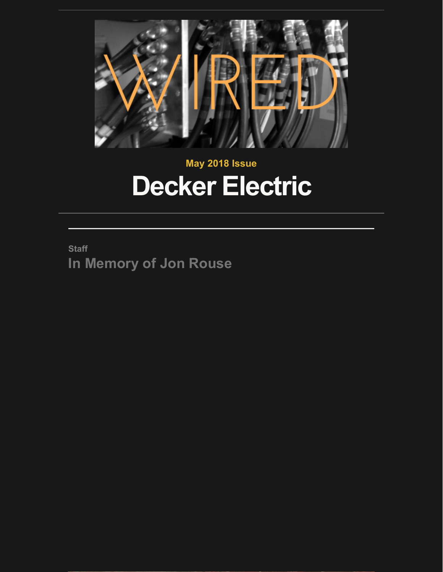

## **May 2018 Issue Decker Electric**

**Staff In Memory of Jon Rouse**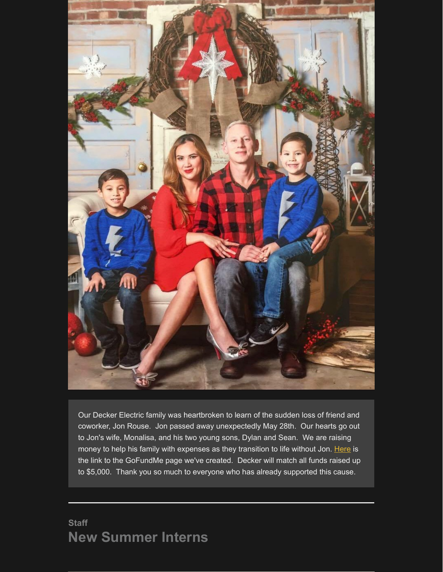

Our Decker Electric family was heartbroken to learn of the sudden loss of friend and coworker, Jon Rouse. Jon passed away unexpectedly May 28th. Our hearts go out to Jon's wife, Monalisa, and his two young sons, Dylan and Sean. We are raising money to help his family with expenses as they transition to life without Jon. [Here](https://www.gofundme.com/jon-rouse-family) is the link to the GoFundMe page we've created. Decker will match all funds raised up to \$5,000. Thank you so much to everyone who has already supported this cause.

### **Staff New Summer Interns**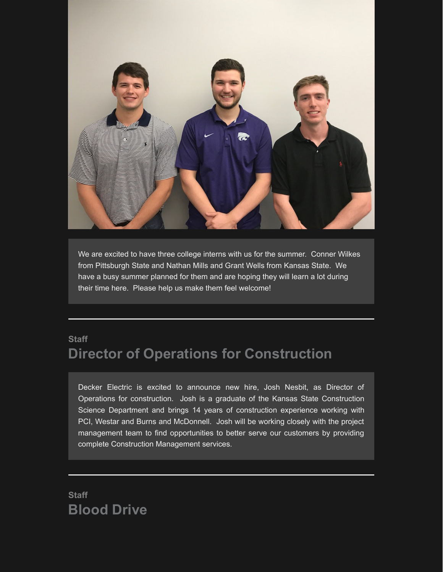

We are excited to have three college interns with us for the summer. Conner Wilkes from Pittsburgh State and Nathan Mills and Grant Wells from Kansas State. We have a busy summer planned for them and are hoping they will learn a lot during their time here. Please help us make them feel welcome!

## **Staff Director of Operations for Construction**

Decker Electric is excited to announce new hire, Josh Nesbit, as Director of Operations for construction. Josh is a graduate of the Kansas State Construction Science Department and brings 14 years of construction experience working with PCI, Westar and Burns and McDonnell. Josh will be working closely with the project management team to find opportunities to better serve our customers by providing complete Construction Management services.

**Staff Blood Drive**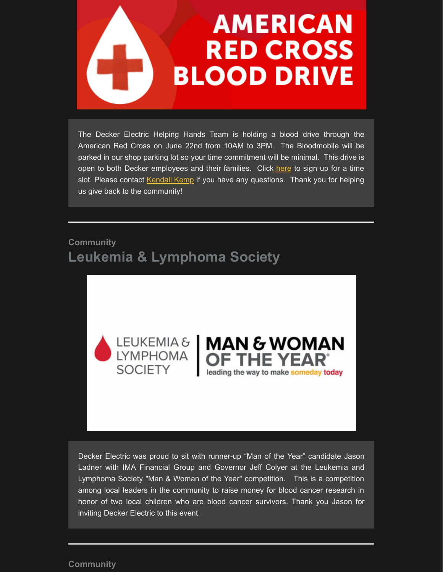# **AMERICAN RED CROSS BLOOD DRIVE**

The Decker Electric Helping Hands Team is holding a blood drive through the American Red Cross on June 22nd from 10AM to 3PM. The Bloodmobile will be parked in our shop parking lot so your time commitment will be minimal. This drive is open to both Decker employees and their families. Click [here](http://signup.com/go/oMUyBpm) to sign up for a time slot. Please contact [Kendall Kemp](http://kkemp@decker-electric.com/) if you have any questions. Thank you for helping us give back to the community!

## **Community Leukemia & Lymphoma Society**





Decker Electric was proud to sit with runner-up "Man of the Year" candidate Jason Ladner with IMA Financial Group and Governor Jeff Colyer at the Leukemia and Lymphoma Society "Man & Woman of the Year" competition. This is a competition among local leaders in the community to raise money for blood cancer research in honor of two local children who are blood cancer survivors. Thank you Jason for inviting Decker Electric to this event.

#### **Community**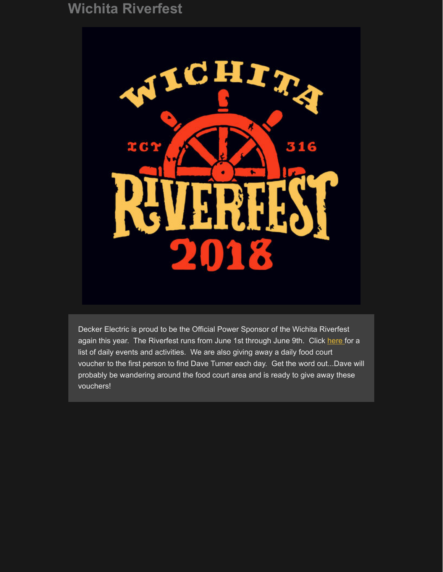## **Wichita Riverfest**



Decker Electric is proud to be the Official Power Sponsor of the Wichita Riverfest again this year. The Riverfest runs from June 1st through June 9th. Click [here f](https://www.wichitariverfest.com/fun.php?page=day_calendar-event_schedule#list_days)or a list of daily events and activities. We are also giving away a daily food court voucher to the first person to find Dave Turner each day. Get the word out...Dave will probably be wandering around the food court area and is ready to give away these vouchers!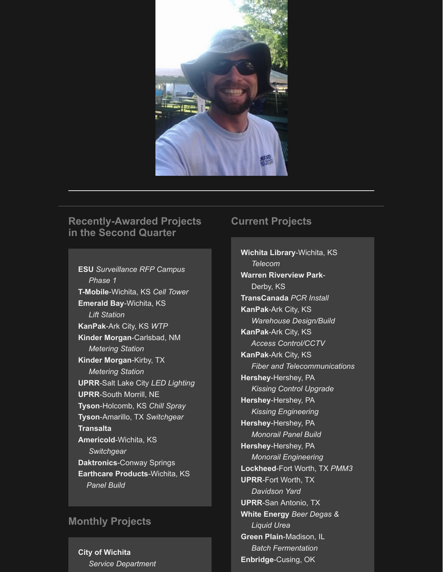

#### **Recently-Awarded Projects in the Second Quarter**

**ESU** *Surveillance RFP Campus Phase 1* **T-Mobile**-Wichita, KS *Cell Tower* **Emerald Bay**-Wichita, KS  *Lift Station* **KanPak**-Ark City, KS *WTP* **Kinder Morgan**-Carlsbad, NM  *Metering Station* **Kinder Morgan**-Kirby, TX  *Metering Station* **UPRR**-Salt Lake City *LED Lighting* **UPRR**-South Morrill, NE **Tyson**-Holcomb, KS *Chill Spray* **Tyson**-Amarillo, TX *Switchgear* **Transalta Americold**-Wichita, KS  *Switchgear* **Daktronics**-Conway Springs **Earthcare Products**-Wichita, KS  *Panel Build*

#### **Monthly Projects**

**City of Wichita**  *Service Department*

#### **Current Projects**

**Wichita Library**-Wichita, KS  *Telecom* **Warren Riverview Park**- Derby, KS **TransCanada** *PCR Install* **KanPak**-Ark City, KS  *Warehouse Design/Build* **KanPak**-Ark City, KS  *Access Control/CCTV* **KanPak**-Ark City, KS  *Fiber and Telecommunications* **Hershey**-Hershey, PA  *Kissing Control Upgrade* **Hershey**-Hershey, PA  *Kissing Engineering* **Hershey**-Hershey, PA  *Monorail Panel Build* **Hershey**-Hershey, PA  *Monorail Engineering* **Lockheed**-Fort Worth, TX *PMM3* **UPRR**-Fort Worth, TX  *Davidson Yard* **UPRR**-San Antonio, TX **White Energy** *Beer Degas & Liquid Urea* **Green Plain**-Madison, IL  *Batch Fermentation* **Enbridge**-Cusing, OK